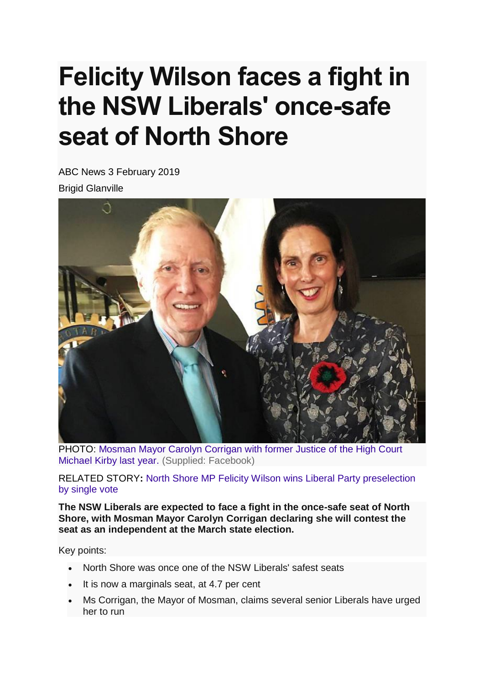## **Felicity Wilson faces a fight in the NSW Liberals' once-safe seat of North Shore**

ABC News 3 February 2019 Brigid Glanville



PHOTO: [Mosman Mayor Carolyn Corrigan with former Justice of the High Court](https://www.abc.net.au/news/2019-02-03/carolyn-corrigan-1/10774434)  [Michael Kirby last year.](https://www.abc.net.au/news/2019-02-03/carolyn-corrigan-1/10774434) (Supplied: Facebook)

RELATED STORY**:** [North Shore MP Felicity Wilson wins Liberal Party preselection](https://www.abc.net.au/news/2018-11-13/felicity-wilson-mp-wins-preselection-for-north-shore-nsw/10490546)  [by single vote](https://www.abc.net.au/news/2018-11-13/felicity-wilson-mp-wins-preselection-for-north-shore-nsw/10490546)

**The NSW Liberals are expected to face a fight in the once-safe seat of North Shore, with Mosman Mayor Carolyn Corrigan declaring she will contest the seat as an independent at the March state election.**

Key points:

- North Shore was once one of the NSW Liberals' safest seats
- It is now a marginals seat, at 4.7 per cent
- Ms Corrigan, the Mayor of Mosman, claims several senior Liberals have urged her to run